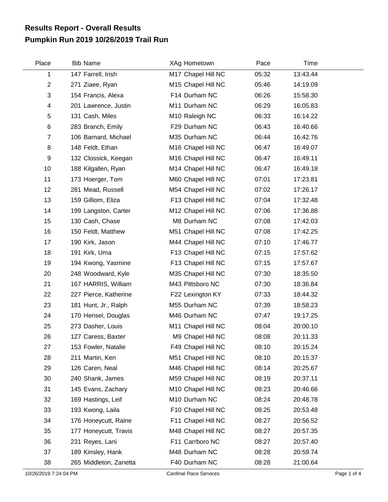## **Pumpkin Run 2019 10/26/2019 Trail Run Results Report - Overall Results**

| Place                     | <b>Bib Name</b>        | XAg Hometown       | Pace  | Time     |  |
|---------------------------|------------------------|--------------------|-------|----------|--|
| 1                         | 147 Farrell, Irish     | M17 Chapel Hill NC | 05:32 | 13:43.44 |  |
| $\overline{2}$            | 271 Ziaee, Ryan        | M15 Chapel Hill NC | 05:46 | 14:19.09 |  |
| $\ensuremath{\mathsf{3}}$ | 154 Francis, Alexa     | F14 Durham NC      | 06:26 | 15:58.30 |  |
| 4                         | 201 Lawrence, Justin   | M11 Durham NC      | 06:29 | 16:05.83 |  |
| 5                         | 131 Cash, Miles        | M10 Raleigh NC     | 06:33 | 16:14.22 |  |
| $\,6$                     | 283 Branch, Emily      | F29 Durham NC      | 06:43 | 16:40.66 |  |
| $\overline{7}$            | 106 Barnard, Michael   | M35 Durham NC      | 06:44 | 16:42.76 |  |
| 8                         | 148 Feldt, Ethan       | M16 Chapel Hill NC | 06:47 | 16:49.07 |  |
| 9                         | 132 Clossick, Keegan   | M16 Chapel Hill NC | 06:47 | 16:49.11 |  |
| 10                        | 188 Kilgallen, Ryan    | M14 Chapel Hill NC | 06:47 | 16:49.18 |  |
| 11                        | 173 Hoerger, Tom       | M60 Chapel Hill NC | 07:01 | 17:23.81 |  |
| 12                        | 281 Mead, Russell      | M54 Chapel Hill NC | 07:02 | 17:26.17 |  |
| 13                        | 159 Gilliom, Eliza     | F13 Chapel Hill NC | 07:04 | 17:32.48 |  |
| 14                        | 199 Langston, Carter   | M12 Chapel Hill NC | 07:06 | 17:36.88 |  |
| 15                        | 130 Cash, Chase        | M8 Durham NC       | 07:08 | 17:42.03 |  |
| 16                        | 150 Feldt, Matthew     | M51 Chapel Hill NC | 07:08 | 17:42.25 |  |
| 17                        | 190 Kirk, Jason        | M44 Chapel Hill NC | 07:10 | 17:46.77 |  |
| 18                        | 191 Kirk, Uma          | F13 Chapel Hill NC | 07:15 | 17:57.62 |  |
| 19                        | 194 Kwong, Yasmine     | F13 Chapel Hill NC | 07:15 | 17:57.67 |  |
| 20                        | 248 Woodward, Kyle     | M35 Chapel Hill NC | 07:30 | 18:35.50 |  |
| 21                        | 167 HARRIS, William    | M43 Pittsboro NC   | 07:30 | 18:36.84 |  |
| 22                        | 227 Pierce, Katherine  | F22 Lexington KY   | 07:33 | 18:44.32 |  |
| 23                        | 181 Hunt, Jr., Ralph   | M55 Durham NC      | 07:39 | 18:58.23 |  |
| 24                        | 170 Hensel, Douglas    | M46 Durham NC      | 07:47 | 19:17.25 |  |
| 25                        | 273 Dasher, Louis      | M11 Chapel Hill NC | 08:04 | 20:00.10 |  |
| 26                        | 127 Caress, Baxter     | M9 Chapel Hill NC  | 08:08 | 20:11.33 |  |
| 27                        | 153 Fowler, Natalie    | F49 Chapel Hill NC | 08:10 | 20:15.24 |  |
| 28                        | 211 Martin, Ken        | M51 Chapel Hill NC | 08:10 | 20:15.37 |  |
| 29                        | 126 Caren, Neal        | M46 Chapel Hill NC | 08:14 | 20:25.67 |  |
| 30                        | 240 Shank, James       | M59 Chapel Hill NC | 08:19 | 20:37.11 |  |
| 31                        | 145 Evans, Zachary     | M10 Chapel Hill NC | 08:23 | 20:46.66 |  |
| 32                        | 169 Hastings, Leif     | M10 Durham NC      | 08:24 | 20:48.78 |  |
| 33                        | 193 Kwong, Laila       | F10 Chapel Hill NC | 08:25 | 20:53.48 |  |
| 34                        | 176 Honeycutt, Raine   | F11 Chapel Hill NC | 08:27 | 20:56.52 |  |
| 35                        | 177 Honeycutt, Travis  | M48 Chapel Hill NC | 08:27 | 20:57.35 |  |
| 36                        | 231 Reyes, Lani        | F11 Carrboro NC    | 08:27 | 20:57.40 |  |
| 37                        | 189 Kinsley, Hank      | M48 Durham NC      | 08:28 | 20:59.74 |  |
| 38                        | 265 Middleton, Zanetta | F40 Durham NC      | 08:28 | 21:00.64 |  |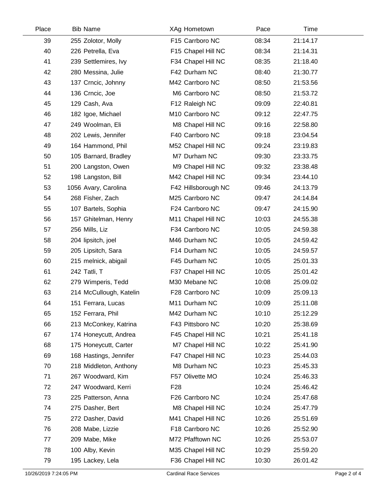| Place | <b>Bib Name</b>         | XAg Hometown        | Pace  | Time     |  |
|-------|-------------------------|---------------------|-------|----------|--|
| 39    | 255 Zolotor, Molly      | F15 Carrboro NC     | 08:34 | 21:14.17 |  |
| 40    | 226 Petrella, Eva       | F15 Chapel Hill NC  | 08:34 | 21:14.31 |  |
| 41    | 239 Settlemires, Ivy    | F34 Chapel Hill NC  | 08:35 | 21:18.40 |  |
| 42    | 280 Messina, Julie      | F42 Durham NC       | 08:40 | 21:30.77 |  |
| 43    | 137 Crncic, Johnny      | M42 Carrboro NC     | 08:50 | 21:53.56 |  |
| 44    | 136 Crncic, Joe         | M6 Carrboro NC      | 08:50 | 21:53.72 |  |
| 45    | 129 Cash, Ava           | F12 Raleigh NC      | 09:09 | 22:40.81 |  |
| 46    | 182 Igoe, Michael       | M10 Carrboro NC     | 09:12 | 22:47.75 |  |
| 47    | 249 Woolman, Eli        | M8 Chapel Hill NC   | 09:16 | 22:58.80 |  |
| 48    | 202 Lewis, Jennifer     | F40 Carrboro NC     | 09:18 | 23:04.54 |  |
| 49    | 164 Hammond, Phil       | M52 Chapel Hill NC  | 09:24 | 23:19.83 |  |
| 50    | 105 Barnard, Bradley    | M7 Durham NC        | 09:30 | 23:33.75 |  |
| 51    | 200 Langston, Owen      | M9 Chapel Hill NC   | 09:32 | 23:38.48 |  |
| 52    | 198 Langston, Bill      | M42 Chapel Hill NC  | 09:34 | 23:44.10 |  |
| 53    | 1056 Avary, Carolina    | F42 Hillsborough NC | 09:46 | 24:13.79 |  |
| 54    | 268 Fisher, Zach        | M25 Carrboro NC     | 09:47 | 24:14.84 |  |
| 55    | 107 Bartels, Sophia     | F24 Carrboro NC     | 09:47 | 24:15.90 |  |
| 56    | 157 Ghitelman, Henry    | M11 Chapel Hill NC  | 10:03 | 24:55.38 |  |
| 57    | 256 Mills, Liz          | F34 Carrboro NC     | 10:05 | 24:59.38 |  |
| 58    | 204 lipsitch, joel      | M46 Durham NC       | 10:05 | 24:59.42 |  |
| 59    | 205 Lipsitch, Sara      | F14 Durham NC       | 10:05 | 24:59.57 |  |
| 60    | 215 melnick, abigail    | F45 Durham NC       | 10:05 | 25:01.33 |  |
| 61    | 242 Tatli, T            | F37 Chapel Hill NC  | 10:05 | 25:01.42 |  |
| 62    | 279 Wimperis, Tedd      | M30 Mebane NC       | 10:08 | 25:09.02 |  |
| 63    | 214 McCullough, Katelin | F28 Carrboro NC     | 10:09 | 25:09.13 |  |
| 64    | 151 Ferrara, Lucas      | M11 Durham NC       | 10:09 | 25:11.08 |  |
| 65    | 152 Ferrara, Phil       | M42 Durham NC       | 10:10 | 25:12.29 |  |
| 66    | 213 McConkey, Katrina   | F43 Pittsboro NC    | 10:20 | 25:38.69 |  |
| 67    | 174 Honeycutt, Andrea   | F45 Chapel Hill NC  | 10:21 | 25:41.18 |  |
| 68    | 175 Honeycutt, Carter   | M7 Chapel Hill NC   | 10:22 | 25:41.90 |  |
| 69    | 168 Hastings, Jennifer  | F47 Chapel Hill NC  | 10:23 | 25:44.03 |  |
| 70    | 218 Middleton, Anthony  | M8 Durham NC        | 10:23 | 25:45.33 |  |
| 71    | 267 Woodward, Kim       | F57 Olivette MO     | 10:24 | 25:46.33 |  |
| 72    | 247 Woodward, Kerri     | F <sub>28</sub>     | 10:24 | 25:46.42 |  |
| 73    | 225 Patterson, Anna     | F26 Carrboro NC     | 10:24 | 25:47.68 |  |
| 74    | 275 Dasher, Bert        | M8 Chapel Hill NC   | 10:24 | 25:47.79 |  |
| 75    | 272 Dasher, David       | M41 Chapel Hill NC  | 10:26 | 25:51.69 |  |
| 76    | 208 Mabe, Lizzie        | F18 Carrboro NC     | 10:26 | 25:52.90 |  |
| 77    | 209 Mabe, Mike          | M72 Pfafftown NC    | 10:26 | 25:53.07 |  |
| 78    | 100 Alby, Kevin         | M35 Chapel Hill NC  | 10:29 | 25:59.20 |  |
| 79    | 195 Lackey, Lela        | F36 Chapel Hill NC  | 10:30 | 26:01.42 |  |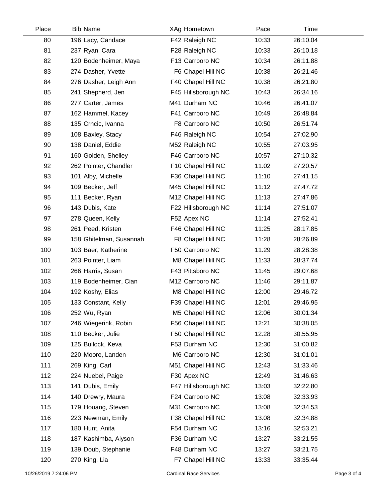| Place | <b>Bib Name</b>         | XAg Hometown        | Pace  | Time     |  |
|-------|-------------------------|---------------------|-------|----------|--|
| 80    | 196 Lacy, Candace       | F42 Raleigh NC      | 10:33 | 26:10.04 |  |
| 81    | 237 Ryan, Cara          | F28 Raleigh NC      | 10:33 | 26:10.18 |  |
| 82    | 120 Bodenheimer, Maya   | F13 Carrboro NC     | 10:34 | 26:11.88 |  |
| 83    | 274 Dasher, Yvette      | F6 Chapel Hill NC   | 10:38 | 26:21.46 |  |
| 84    | 276 Dasher, Leigh Ann   | F40 Chapel Hill NC  | 10:38 | 26:21.80 |  |
| 85    | 241 Shepherd, Jen       | F45 Hillsborough NC | 10:43 | 26:34.16 |  |
| 86    | 277 Carter, James       | M41 Durham NC       | 10:46 | 26:41.07 |  |
| 87    | 162 Hammel, Kacey       | F41 Carrboro NC     | 10:49 | 26:48.84 |  |
| 88    | 135 Crncic, Ivanna      | F8 Carrboro NC      | 10:50 | 26:51.74 |  |
| 89    | 108 Baxley, Stacy       | F46 Raleigh NC      | 10:54 | 27:02.90 |  |
| 90    | 138 Daniel, Eddie       | M52 Raleigh NC      | 10:55 | 27:03.95 |  |
| 91    | 160 Golden, Shelley     | F46 Carrboro NC     | 10:57 | 27:10.32 |  |
| 92    | 262 Pointer, Chandler   | F10 Chapel Hill NC  | 11:02 | 27:20.57 |  |
| 93    | 101 Alby, Michelle      | F36 Chapel Hill NC  | 11:10 | 27:41.15 |  |
| 94    | 109 Becker, Jeff        | M45 Chapel Hill NC  | 11:12 | 27:47.72 |  |
| 95    | 111 Becker, Ryan        | M12 Chapel Hill NC  | 11:13 | 27:47.86 |  |
| 96    | 143 Dubis, Kate         | F22 Hillsborough NC | 11:14 | 27:51.07 |  |
| 97    | 278 Queen, Kelly        | F52 Apex NC         | 11:14 | 27:52.41 |  |
| 98    | 261 Peed, Kristen       | F46 Chapel Hill NC  | 11:25 | 28:17.85 |  |
| 99    | 158 Ghitelman, Susannah | F8 Chapel Hill NC   | 11:28 | 28:26.89 |  |
| 100   | 103 Baer, Katherine     | F50 Carrboro NC     | 11:29 | 28:28.38 |  |
| 101   | 263 Pointer, Liam       | M8 Chapel Hill NC   | 11:33 | 28:37.74 |  |
| 102   | 266 Harris, Susan       | F43 Pittsboro NC    | 11:45 | 29:07.68 |  |
| 103   | 119 Bodenheimer, Cian   | M12 Carrboro NC     | 11:46 | 29:11.87 |  |
| 104   | 192 Koshy, Elias        | M8 Chapel Hill NC   | 12:00 | 29:46.72 |  |
| 105   | 133 Constant, Kelly     | F39 Chapel Hill NC  | 12:01 | 29:46.95 |  |
| 106   | 252 Wu, Ryan            | M5 Chapel Hill NC   | 12:06 | 30:01.34 |  |
| 107   | 246 Wiegerink, Robin    | F56 Chapel Hill NC  | 12:21 | 30:38.05 |  |
| 108   | 110 Becker, Julie       | F50 Chapel Hill NC  | 12:28 | 30:55.95 |  |
| 109   | 125 Bullock, Keva       | F53 Durham NC       | 12:30 | 31:00.82 |  |
| 110   | 220 Moore, Landen       | M6 Carrboro NC      | 12:30 | 31:01.01 |  |
| 111   | 269 King, Carl          | M51 Chapel Hill NC  | 12:43 | 31:33.46 |  |
| 112   | 224 Nuebel, Paige       | F30 Apex NC         | 12:49 | 31:46.63 |  |
| 113   | 141 Dubis, Emily        | F47 Hillsborough NC | 13:03 | 32:22.80 |  |
| 114   | 140 Drewry, Maura       | F24 Carrboro NC     | 13:08 | 32:33.93 |  |
| 115   | 179 Houang, Steven      | M31 Carrboro NC     | 13:08 | 32:34.53 |  |
| 116   | 223 Newman, Emily       | F38 Chapel Hill NC  | 13:08 | 32:34.88 |  |
| 117   | 180 Hunt, Anita         | F54 Durham NC       | 13:16 | 32:53.21 |  |
| 118   | 187 Kashimba, Alyson    | F36 Durham NC       | 13:27 | 33:21.55 |  |
| 119   | 139 Doub, Stephanie     | F48 Durham NC       | 13:27 | 33:21.75 |  |
| 120   | 270 King, Lia           | F7 Chapel Hill NC   | 13:33 | 33:35.44 |  |